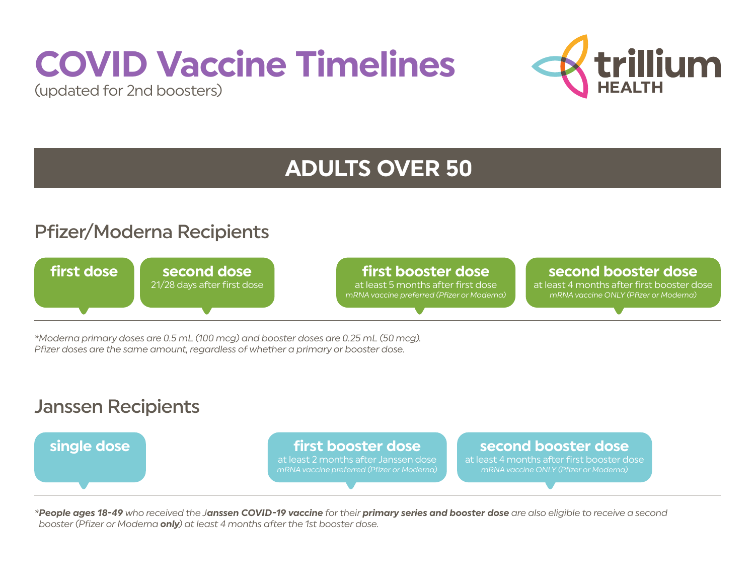# **COVID Vaccine Timelines**





## **ADULTS OVER 50**

### Pfizer/Moderna Recipients



*\*Moderna primary doses are 0.5 mL (100 mcg) and booster doses are 0.25 mL (50 mcg). Pfizer doses are the same amount, regardless of whether a primary or booster dose.*

#### Janssen Recipients



*\*People ages 18-49 who received the Janssen COVID-19 vaccine for their primary series and booster dose are also eligible to receive a second booster (Pfizer or Moderna only) at least 4 months after the 1st booster dose.*